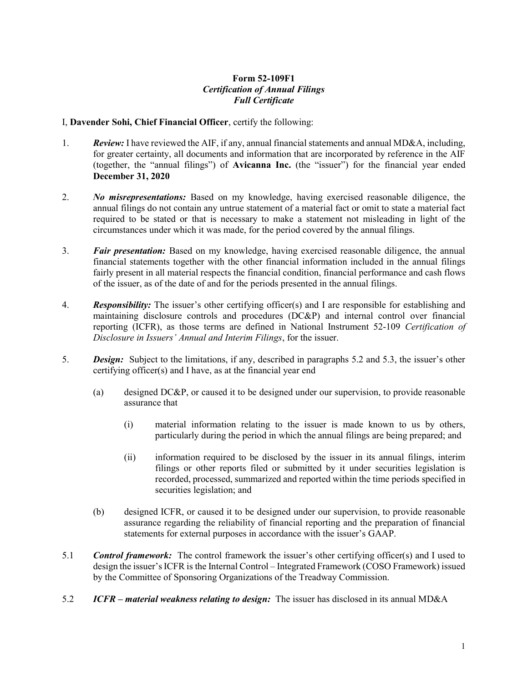## Form 52-109F1 Certification of Annual Filings Full Certificate

## I, Davender Sohi, Chief Financial Officer, certify the following:

- 1. Review: I have reviewed the AIF, if any, annual financial statements and annual MD&A, including, for greater certainty, all documents and information that are incorporated by reference in the AIF (together, the "annual filings") of Avicanna Inc. (the "issuer") for the financial year ended December 31, 2020
- 2. No misrepresentations: Based on my knowledge, having exercised reasonable diligence, the annual filings do not contain any untrue statement of a material fact or omit to state a material fact required to be stated or that is necessary to make a statement not misleading in light of the circumstances under which it was made, for the period covered by the annual filings.
- 3. Fair presentation: Based on my knowledge, having exercised reasonable diligence, the annual financial statements together with the other financial information included in the annual filings fairly present in all material respects the financial condition, financial performance and cash flows of the issuer, as of the date of and for the periods presented in the annual filings.
- 4. Responsibility: The issuer's other certifying officer(s) and I are responsible for establishing and maintaining disclosure controls and procedures (DC&P) and internal control over financial reporting (ICFR), as those terms are defined in National Instrument 52-109 Certification of Disclosure in Issuers' Annual and Interim Filings, for the issuer.
- 5. Design: Subject to the limitations, if any, described in paragraphs 5.2 and 5.3, the issuer's other certifying officer(s) and I have, as at the financial year end
	- (a) designed DC&P, or caused it to be designed under our supervision, to provide reasonable assurance that
		- (i) material information relating to the issuer is made known to us by others, particularly during the period in which the annual filings are being prepared; and
		- (ii) information required to be disclosed by the issuer in its annual filings, interim filings or other reports filed or submitted by it under securities legislation is recorded, processed, summarized and reported within the time periods specified in securities legislation; and
	- (b) designed ICFR, or caused it to be designed under our supervision, to provide reasonable assurance regarding the reliability of financial reporting and the preparation of financial statements for external purposes in accordance with the issuer's GAAP.
- 5.1 **Control framework:** The control framework the issuer's other certifying officer(s) and I used to design the issuer's ICFR is the Internal Control – Integrated Framework (COSO Framework) issued by the Committee of Sponsoring Organizations of the Treadway Commission.
- 5.2 ICFR material weakness relating to design: The issuer has disclosed in its annual MD&A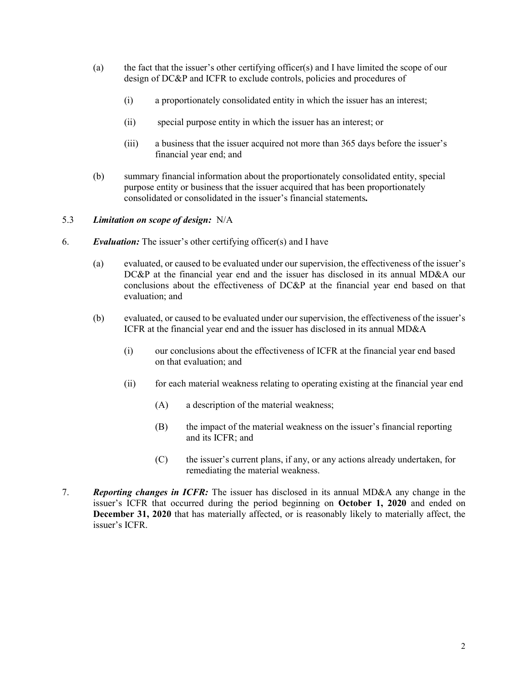- (a) the fact that the issuer's other certifying officer(s) and I have limited the scope of our design of DC&P and ICFR to exclude controls, policies and procedures of
	- (i) a proportionately consolidated entity in which the issuer has an interest;
	- (ii) special purpose entity in which the issuer has an interest; or
	- (iii) a business that the issuer acquired not more than 365 days before the issuer's financial year end; and
- (b) summary financial information about the proportionately consolidated entity, special purpose entity or business that the issuer acquired that has been proportionately consolidated or consolidated in the issuer's financial statements.

## 5.3 Limitation on scope of design: N/A

- 6. Evaluation: The issuer's other certifying officer(s) and I have
	- (a) evaluated, or caused to be evaluated under our supervision, the effectiveness of the issuer's DC&P at the financial year end and the issuer has disclosed in its annual MD&A our conclusions about the effectiveness of DC&P at the financial year end based on that evaluation; and
	- (b) evaluated, or caused to be evaluated under our supervision, the effectiveness of the issuer's ICFR at the financial year end and the issuer has disclosed in its annual MD&A
		- (i) our conclusions about the effectiveness of ICFR at the financial year end based on that evaluation; and
		- (ii) for each material weakness relating to operating existing at the financial year end
			- (A) a description of the material weakness;
			- (B) the impact of the material weakness on the issuer's financial reporting and its ICFR; and
			- (C) the issuer's current plans, if any, or any actions already undertaken, for remediating the material weakness.
- 7. Reporting changes in ICFR: The issuer has disclosed in its annual MD&A any change in the issuer's ICFR that occurred during the period beginning on October 1, 2020 and ended on December 31, 2020 that has materially affected, or is reasonably likely to materially affect, the issuer's ICFR.